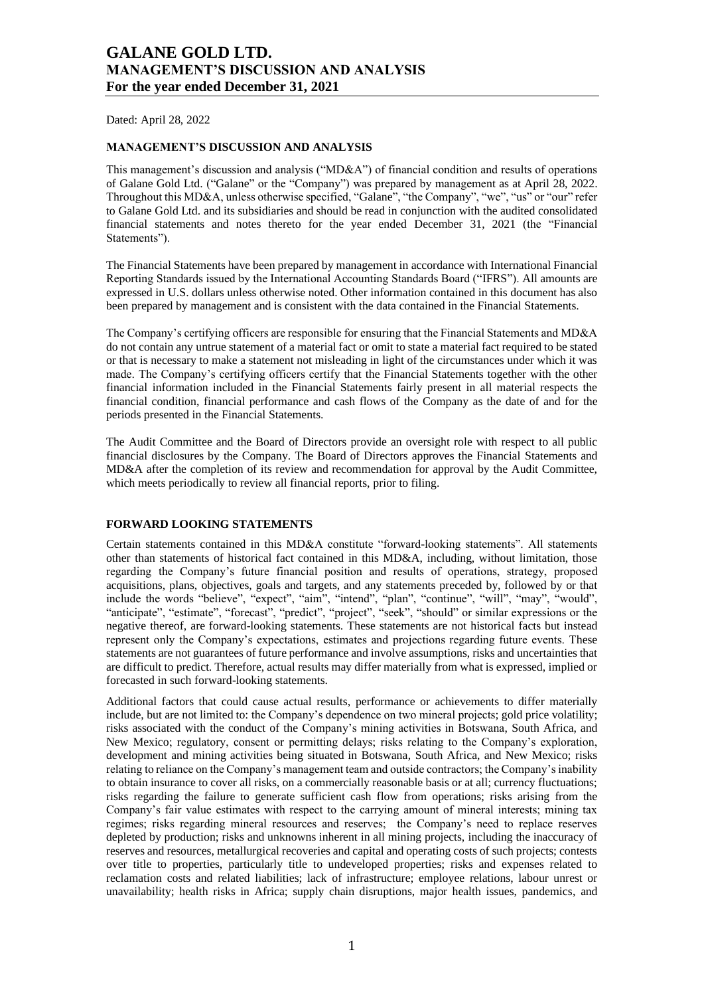Dated: April 28, 2022

#### **MANAGEMENT'S DISCUSSION AND ANALYSIS**

This management's discussion and analysis ("MD&A") of financial condition and results of operations of Galane Gold Ltd. ("Galane" or the "Company") was prepared by management as at April 28, 2022. Throughout this MD&A, unless otherwise specified, "Galane", "the Company", "we", "us" or "our" refer to Galane Gold Ltd. and its subsidiaries and should be read in conjunction with the audited consolidated financial statements and notes thereto for the year ended December 31, 2021 (the "Financial Statements").

The Financial Statements have been prepared by management in accordance with International Financial Reporting Standards issued by the International Accounting Standards Board ("IFRS"). All amounts are expressed in U.S. dollars unless otherwise noted. Other information contained in this document has also been prepared by management and is consistent with the data contained in the Financial Statements.

The Company's certifying officers are responsible for ensuring that the Financial Statements and MD&A do not contain any untrue statement of a material fact or omit to state a material fact required to be stated or that is necessary to make a statement not misleading in light of the circumstances under which it was made. The Company's certifying officers certify that the Financial Statements together with the other financial information included in the Financial Statements fairly present in all material respects the financial condition, financial performance and cash flows of the Company as the date of and for the periods presented in the Financial Statements.

The Audit Committee and the Board of Directors provide an oversight role with respect to all public financial disclosures by the Company. The Board of Directors approves the Financial Statements and MD&A after the completion of its review and recommendation for approval by the Audit Committee, which meets periodically to review all financial reports, prior to filing.

## **FORWARD LOOKING STATEMENTS**

Certain statements contained in this MD&A constitute "forward-looking statements". All statements other than statements of historical fact contained in this MD&A, including, without limitation, those regarding the Company's future financial position and results of operations, strategy, proposed acquisitions, plans, objectives, goals and targets, and any statements preceded by, followed by or that include the words "believe", "expect", "aim", "intend", "plan", "continue", "will", "may", "would", "anticipate", "estimate", "forecast", "predict", "project", "seek", "should" or similar expressions or the negative thereof, are forward-looking statements. These statements are not historical facts but instead represent only the Company's expectations, estimates and projections regarding future events. These statements are not guarantees of future performance and involve assumptions, risks and uncertainties that are difficult to predict. Therefore, actual results may differ materially from what is expressed, implied or forecasted in such forward-looking statements.

Additional factors that could cause actual results, performance or achievements to differ materially include, but are not limited to: the Company's dependence on two mineral projects; gold price volatility; risks associated with the conduct of the Company's mining activities in Botswana, South Africa, and New Mexico; regulatory, consent or permitting delays; risks relating to the Company's exploration, development and mining activities being situated in Botswana, South Africa, and New Mexico; risks relating to reliance on the Company's management team and outside contractors; the Company's inability to obtain insurance to cover all risks, on a commercially reasonable basis or at all; currency fluctuations; risks regarding the failure to generate sufficient cash flow from operations; risks arising from the Company's fair value estimates with respect to the carrying amount of mineral interests; mining tax regimes; risks regarding mineral resources and reserves; the Company's need to replace reserves depleted by production; risks and unknowns inherent in all mining projects, including the inaccuracy of reserves and resources, metallurgical recoveries and capital and operating costs of such projects; contests over title to properties, particularly title to undeveloped properties; risks and expenses related to reclamation costs and related liabilities; lack of infrastructure; employee relations, labour unrest or unavailability; health risks in Africa; supply chain disruptions, major health issues, pandemics, and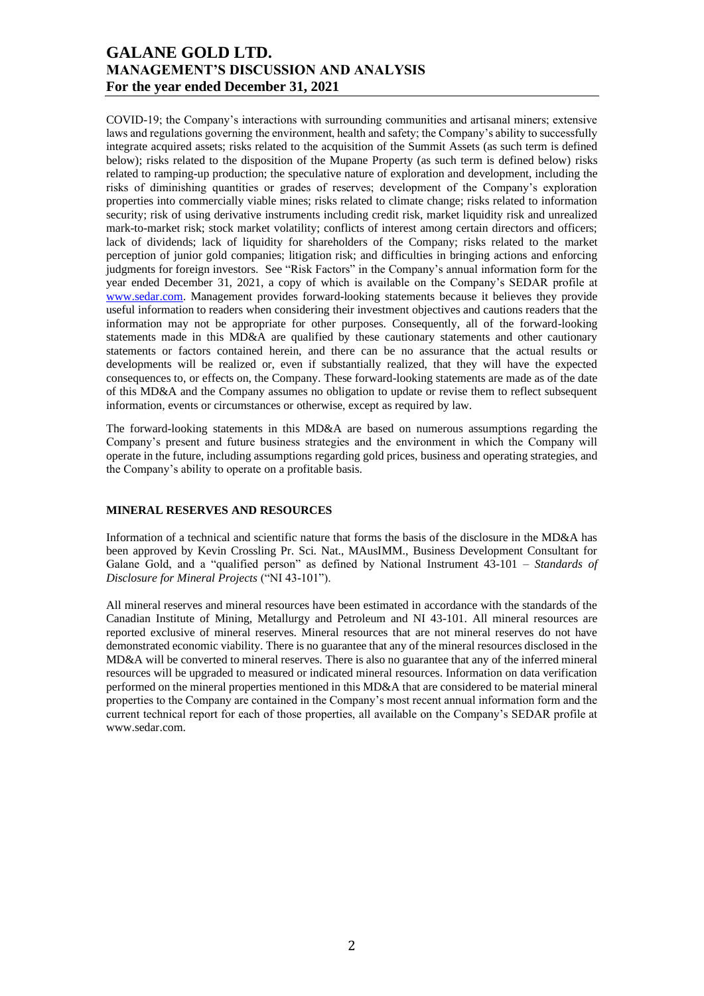COVID-19; the Company's interactions with surrounding communities and artisanal miners; extensive laws and regulations governing the environment, health and safety; the Company's ability to successfully integrate acquired assets; risks related to the acquisition of the Summit Assets (as such term is defined below); risks related to the disposition of the Mupane Property (as such term is defined below) risks related to ramping-up production; the speculative nature of exploration and development, including the risks of diminishing quantities or grades of reserves; development of the Company's exploration properties into commercially viable mines; risks related to climate change; risks related to information security; risk of using derivative instruments including credit risk, market liquidity risk and unrealized mark-to-market risk; stock market volatility; conflicts of interest among certain directors and officers; lack of dividends; lack of liquidity for shareholders of the Company; risks related to the market perception of junior gold companies; litigation risk; and difficulties in bringing actions and enforcing judgments for foreign investors. See "Risk Factors" in the Company's annual information form for the year ended December 31, 2021, a copy of which is available on the Company's SEDAR profile at [www.sedar.com.](http://www.sedar.com/) Management provides forward-looking statements because it believes they provide useful information to readers when considering their investment objectives and cautions readers that the information may not be appropriate for other purposes. Consequently, all of the forward-looking statements made in this MD&A are qualified by these cautionary statements and other cautionary statements or factors contained herein, and there can be no assurance that the actual results or developments will be realized or, even if substantially realized, that they will have the expected consequences to, or effects on, the Company. These forward-looking statements are made as of the date of this MD&A and the Company assumes no obligation to update or revise them to reflect subsequent information, events or circumstances or otherwise, except as required by law.

The forward-looking statements in this MD&A are based on numerous assumptions regarding the Company's present and future business strategies and the environment in which the Company will operate in the future, including assumptions regarding gold prices, business and operating strategies, and the Company's ability to operate on a profitable basis.

## **MINERAL RESERVES AND RESOURCES**

Information of a technical and scientific nature that forms the basis of the disclosure in the MD&A has been approved by Kevin Crossling Pr. Sci. Nat., MAusIMM., Business Development Consultant for Galane Gold, and a "qualified person" as defined by National Instrument 43-101 – *Standards of Disclosure for Mineral Projects* ("NI 43-101").

All mineral reserves and mineral resources have been estimated in accordance with the standards of the Canadian Institute of Mining, Metallurgy and Petroleum and NI 43-101. All mineral resources are reported exclusive of mineral reserves. Mineral resources that are not mineral reserves do not have demonstrated economic viability. There is no guarantee that any of the mineral resources disclosed in the MD&A will be converted to mineral reserves. There is also no guarantee that any of the inferred mineral resources will be upgraded to measured or indicated mineral resources. Information on data verification performed on the mineral properties mentioned in this MD&A that are considered to be material mineral properties to the Company are contained in the Company's most recent annual information form and the current technical report for each of those properties, all available on the Company's SEDAR profile at www.sedar.com.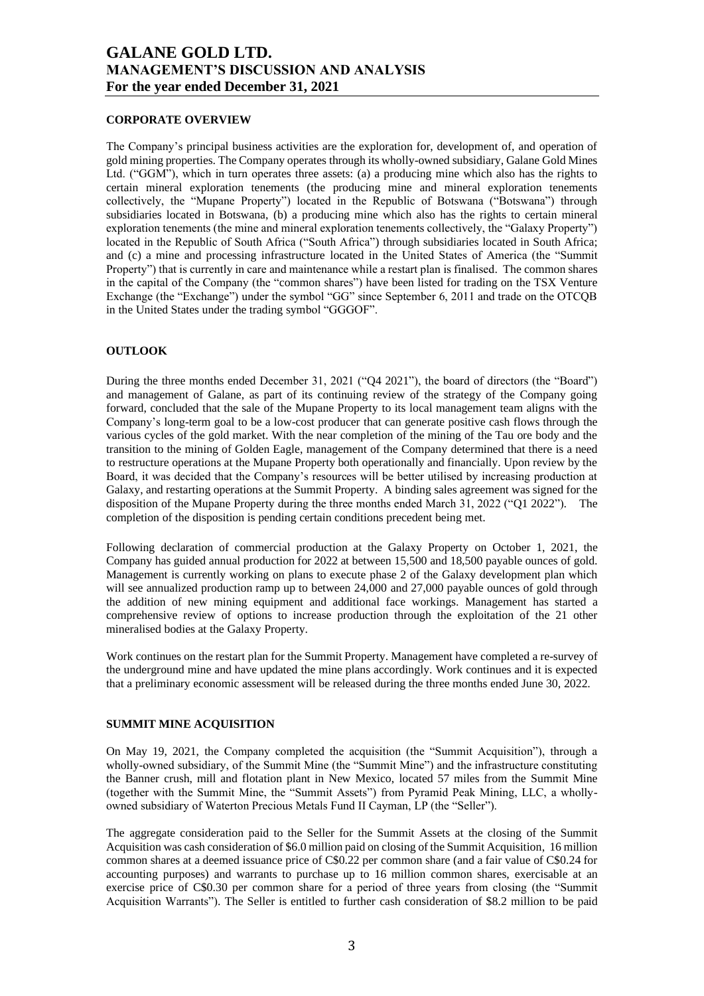#### **CORPORATE OVERVIEW**

The Company's principal business activities are the exploration for, development of, and operation of gold mining properties. The Company operates through its wholly-owned subsidiary, Galane Gold Mines Ltd. ("GGM"), which in turn operates three assets: (a) a producing mine which also has the rights to certain mineral exploration tenements (the producing mine and mineral exploration tenements collectively, the "Mupane Property") located in the Republic of Botswana ("Botswana") through subsidiaries located in Botswana, (b) a producing mine which also has the rights to certain mineral exploration tenements (the mine and mineral exploration tenements collectively, the "Galaxy Property") located in the Republic of South Africa ("South Africa") through subsidiaries located in South Africa; and (c) a mine and processing infrastructure located in the United States of America (the "Summit Property") that is currently in care and maintenance while a restart plan is finalised. The common shares in the capital of the Company (the "common shares") have been listed for trading on the TSX Venture Exchange (the "Exchange") under the symbol "GG" since September 6, 2011 and trade on the OTCQB in the United States under the trading symbol "GGGOF".

## **OUTLOOK**

During the three months ended December 31, 2021 ("Q4 2021"), the board of directors (the "Board") and management of Galane, as part of its continuing review of the strategy of the Company going forward, concluded that the sale of the Mupane Property to its local management team aligns with the Company's long-term goal to be a low-cost producer that can generate positive cash flows through the various cycles of the gold market. With the near completion of the mining of the Tau ore body and the transition to the mining of Golden Eagle, management of the Company determined that there is a need to restructure operations at the Mupane Property both operationally and financially. Upon review by the Board, it was decided that the Company's resources will be better utilised by increasing production at Galaxy, and restarting operations at the Summit Property. A binding sales agreement was signed for the disposition of the Mupane Property during the three months ended March 31, 2022 ("Q1 2022"). The completion of the disposition is pending certain conditions precedent being met.

Following declaration of commercial production at the Galaxy Property on October 1, 2021, the Company has guided annual production for 2022 at between 15,500 and 18,500 payable ounces of gold. Management is currently working on plans to execute phase 2 of the Galaxy development plan which will see annualized production ramp up to between 24,000 and 27,000 payable ounces of gold through the addition of new mining equipment and additional face workings. Management has started a comprehensive review of options to increase production through the exploitation of the 21 other mineralised bodies at the Galaxy Property.

Work continues on the restart plan for the Summit Property. Management have completed a re-survey of the underground mine and have updated the mine plans accordingly. Work continues and it is expected that a preliminary economic assessment will be released during the three months ended June 30, 2022.

## **SUMMIT MINE ACQUISITION**

On May 19, 2021, the Company completed the acquisition (the "Summit Acquisition"), through a wholly-owned subsidiary, of the Summit Mine (the "Summit Mine") and the infrastructure constituting the Banner crush, mill and flotation plant in New Mexico, located 57 miles from the Summit Mine (together with the Summit Mine, the "Summit Assets") from Pyramid Peak Mining, LLC, a whollyowned subsidiary of Waterton Precious Metals Fund II Cayman, LP (the "Seller").

The aggregate consideration paid to the Seller for the Summit Assets at the closing of the Summit Acquisition was cash consideration of \$6.0 million paid on closing of the Summit Acquisition, 16 million common shares at a deemed issuance price of C\$0.22 per common share (and a fair value of C\$0.24 for accounting purposes) and warrants to purchase up to 16 million common shares, exercisable at an exercise price of C\$0.30 per common share for a period of three years from closing (the "Summit Acquisition Warrants"). The Seller is entitled to further cash consideration of \$8.2 million to be paid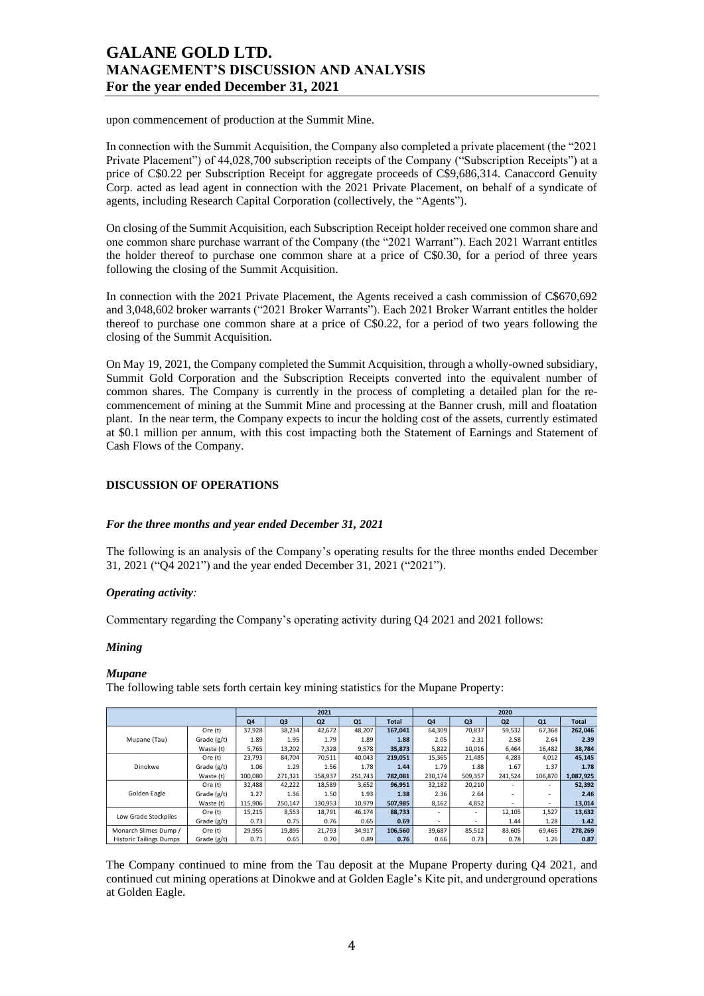upon commencement of production at the Summit Mine.

In connection with the Summit Acquisition, the Company also completed a private placement (the "2021 Private Placement") of 44,028,700 subscription receipts of the Company ("Subscription Receipts") at a price of C\$0.22 per Subscription Receipt for aggregate proceeds of C\$9,686,314. Canaccord Genuity Corp. acted as lead agent in connection with the 2021 Private Placement, on behalf of a syndicate of agents, including Research Capital Corporation (collectively, the "Agents").

On closing of the Summit Acquisition, each Subscription Receipt holder received one common share and one common share purchase warrant of the Company (the "2021 Warrant"). Each 2021 Warrant entitles the holder thereof to purchase one common share at a price of C\$0.30, for a period of three years following the closing of the Summit Acquisition.

In connection with the 2021 Private Placement, the Agents received a cash commission of C\$670,692 and 3,048,602 broker warrants ("2021 Broker Warrants"). Each 2021 Broker Warrant entitles the holder thereof to purchase one common share at a price of C\$0.22, for a period of two years following the closing of the Summit Acquisition.

On May 19, 2021, the Company completed the Summit Acquisition, through a wholly-owned subsidiary, Summit Gold Corporation and the Subscription Receipts converted into the equivalent number of common shares. The Company is currently in the process of completing a detailed plan for the recommencement of mining at the Summit Mine and processing at the Banner crush, mill and floatation plant. In the near term, the Company expects to incur the holding cost of the assets, currently estimated at \$0.1 million per annum, with this cost impacting both the Statement of Earnings and Statement of Cash Flows of the Company.

## **DISCUSSION OF OPERATIONS**

## *For the three months and year ended December 31, 2021*

The following is an analysis of the Company's operating results for the three months ended December 31, 2021 ("Q4 2021") and the year ended December 31, 2021 ("2021").

## *Operating activity:*

Commentary regarding the Company's operating activity during Q4 2021 and 2021 follows:

## *Mining*

## *Mupane*

The following table sets forth certain key mining statistics for the Mupane Property:

| 2021                           |             |         |         |                |         | 2020         |                          |         |                |         |              |
|--------------------------------|-------------|---------|---------|----------------|---------|--------------|--------------------------|---------|----------------|---------|--------------|
|                                |             | Q4      | Q3      | Q <sub>2</sub> | Q1      | <b>Total</b> | Q4                       | Q3      | Q <sub>2</sub> | Q1      | <b>Total</b> |
|                                | Ore (t)     | 37,928  | 38,234  | 42,672         | 48,207  | 167.041      | 64,309                   | 70,837  | 59,532         | 67,368  | 262,046      |
| Mupane (Tau)                   | Grade (g/t) | 1.89    | 1.95    | 1.79           | 1.89    | 1.88         | 2.05                     | 2.31    | 2.58           | 2.64    | 2.39         |
|                                | Waste (t)   | 5.765   | 13.202  | 7.328          | 9.578   | 35.873       | 5,822                    | 10.016  | 6.464          | 16.482  | 38,784       |
|                                | Ore (t)     | 23,793  | 84,704  | 70,511         | 40,043  | 219,051      | 15,365                   | 21,485  | 4,283          | 4,012   | 45,145       |
| Dinokwe                        | Grade (g/t) | 1.06    | 1.29    | 1.56           | 1.78    | 1.44         | 1.79                     | 1.88    | 1.67           | 1.37    | 1.78         |
|                                | Waste (t)   | 100.080 | 271,321 | 158,937        | 251,743 | 782.081      | 230,174                  | 509,357 | 241,524        | 106,870 | 1,087,925    |
|                                | Ore (t)     | 32.488  | 42,222  | 18,589         | 3,652   | 96,951       | 32,182                   | 20,210  |                | ٠       | 52,392       |
| Golden Eagle                   | Grade (g/t) | 1.27    | 1.36    | 1.50           | 1.93    | 1.38         | 2.36                     | 2.64    |                | ٠       | 2.46         |
|                                | Waste (t)   | 115,906 | 250,147 | 130,953        | 10,979  | 507,985      | 8,162                    | 4,852   |                | ٠       | 13,014       |
| Low Grade Stockpiles           | Ore (t)     | 15,215  | 8,553   | 18,791         | 46,174  | 88,733       |                          | ٠       | 12,105         | 1,527   | 13,632       |
|                                | Grade (g/t) | 0.73    | 0.75    | 0.76           | 0.65    | 0.69         | $\overline{\phantom{a}}$ | ٠       | 1.44           | 1.28    | 1.42         |
| Monarch Slimes Dump /          | Ore (t)     | 29,955  | 19,895  | 21,793         | 34,917  | 106,560      | 39,687                   | 85,512  | 83,605         | 69,465  | 278,269      |
| <b>Historic Tailings Dumps</b> | Grade (g/t) | 0.71    | 0.65    | 0.70           | 0.89    | 0.76         | 0.66                     | 0.73    | 0.78           | 1.26    | 0.87         |

The Company continued to mine from the Tau deposit at the Mupane Property during Q4 2021, and continued cut mining operations at Dinokwe and at Golden Eagle's Kite pit, and underground operations at Golden Eagle.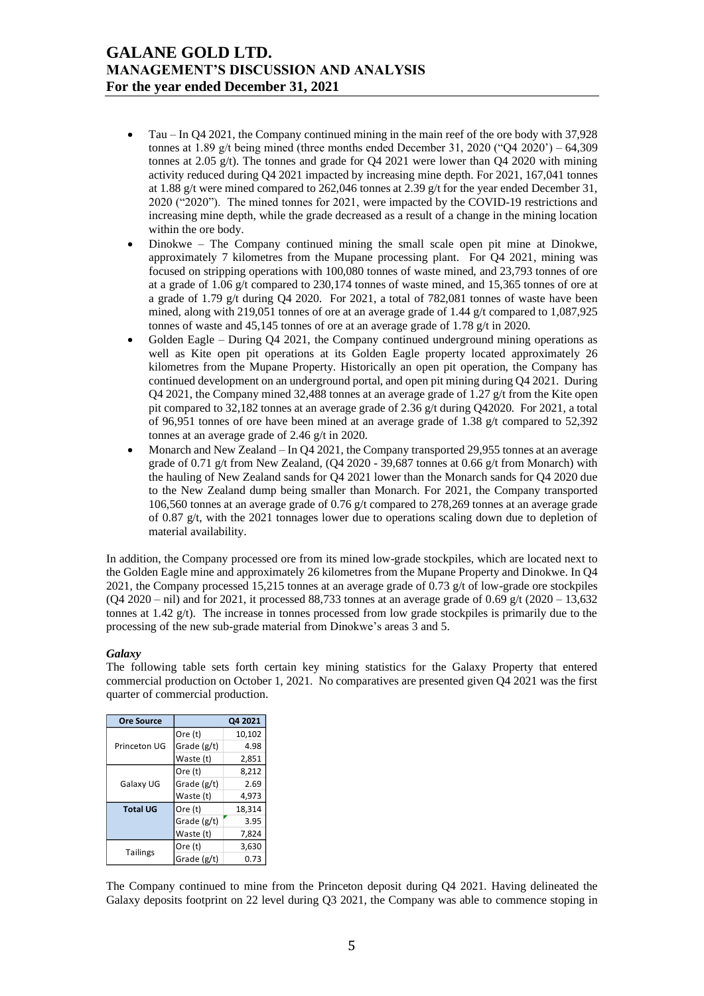- Tau In Q4 2021, the Company continued mining in the main reef of the ore body with 37,928 tonnes at 1.89 g/t being mined (three months ended December 31, 2020 ("Q4 2020') – 64,309 tonnes at 2.05 g/t). The tonnes and grade for Q4 2021 were lower than Q4 2020 with mining activity reduced during Q4 2021 impacted by increasing mine depth. For 2021, 167,041 tonnes at 1.88 g/t were mined compared to 262,046 tonnes at 2.39 g/t for the year ended December 31, 2020 ("2020"). The mined tonnes for 2021, were impacted by the COVID-19 restrictions and increasing mine depth, while the grade decreased as a result of a change in the mining location within the ore body.
- Dinokwe The Company continued mining the small scale open pit mine at Dinokwe, approximately 7 kilometres from the Mupane processing plant. For Q4 2021, mining was focused on stripping operations with 100,080 tonnes of waste mined, and 23,793 tonnes of ore at a grade of 1.06 g/t compared to 230,174 tonnes of waste mined, and 15,365 tonnes of ore at a grade of 1.79 g/t during Q4 2020. For 2021, a total of  $782,081$  tonnes of waste have been mined, along with 219,051 tonnes of ore at an average grade of 1.44 g/t compared to 1,087,925 tonnes of waste and 45,145 tonnes of ore at an average grade of 1.78 g/t in 2020.
- Golden Eagle During Q4 2021, the Company continued underground mining operations as well as Kite open pit operations at its Golden Eagle property located approximately 26 kilometres from the Mupane Property. Historically an open pit operation, the Company has continued development on an underground portal, and open pit mining during Q4 2021. During Q4 2021, the Company mined 32,488 tonnes at an average grade of 1.27  $g/t$  from the Kite open pit compared to 32,182 tonnes at an average grade of 2.36 g/t during Q42020. For 2021, a total of 96,951 tonnes of ore have been mined at an average grade of 1.38 g/t compared to 52,392 tonnes at an average grade of 2.46 g/t in 2020.
- Monarch and New Zealand In Q4 2021, the Company transported 29,955 tonnes at an average grade of 0.71 g/t from New Zealand, (Q4 2020 - 39,687 tonnes at 0.66 g/t from Monarch) with the hauling of New Zealand sands for Q4 2021 lower than the Monarch sands for Q4 2020 due to the New Zealand dump being smaller than Monarch. For 2021, the Company transported 106,560 tonnes at an average grade of 0.76 g/t compared to 278,269 tonnes at an average grade of 0.87 g/t, with the 2021 tonnages lower due to operations scaling down due to depletion of material availability.

In addition, the Company processed ore from its mined low-grade stockpiles, which are located next to the Golden Eagle mine and approximately 26 kilometres from the Mupane Property and Dinokwe. In Q4 2021, the Company processed 15,215 tonnes at an average grade of 0.73 g/t of low-grade ore stockpiles  $(Q4 2020 - \text{nil})$  and for 2021, it processed 88,733 tonnes at an average grade of 0.69 g/t (2020 – 13,632) tonnes at 1.42 g/t). The increase in tonnes processed from low grade stockpiles is primarily due to the processing of the new sub-grade material from Dinokwe's areas 3 and 5.

## *Galaxy*

The following table sets forth certain key mining statistics for the Galaxy Property that entered commercial production on October 1, 2021. No comparatives are presented given Q4 2021 was the first quarter of commercial production.

| <b>Ore Source</b> |               | Q4 2021 |
|-------------------|---------------|---------|
|                   | Ore (t)       | 10,102  |
| Princeton UG      | Grade (g/t)   | 4.98    |
|                   | Waste (t)     | 2,851   |
|                   | Ore (t)       | 8,212   |
| Galaxy UG         | Grade $(g/t)$ | 2.69    |
|                   | Waste (t)     | 4,973   |
| <b>Total UG</b>   | Ore (t)       | 18,314  |
|                   | Grade (g/t)   | 3.95    |
|                   | Waste (t)     | 7,824   |
| <b>Tailings</b>   | Ore (t)       | 3,630   |
|                   | Grade (g/t)   | 0.73    |

The Company continued to mine from the Princeton deposit during Q4 2021. Having delineated the Galaxy deposits footprint on 22 level during Q3 2021, the Company was able to commence stoping in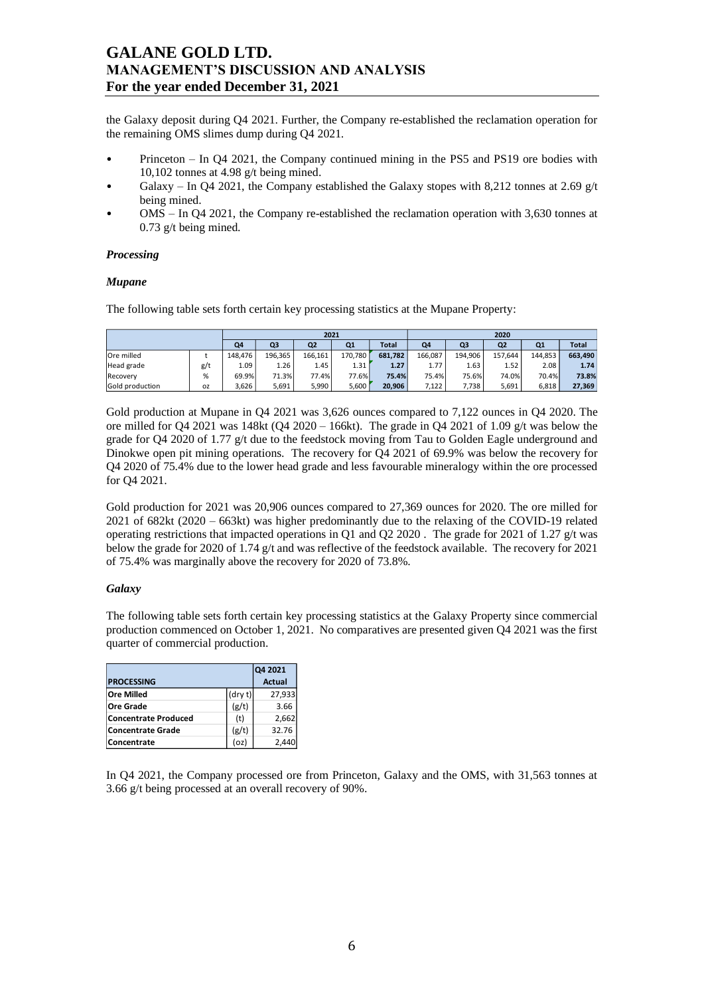the Galaxy deposit during Q4 2021. Further, the Company re-established the reclamation operation for the remaining OMS slimes dump during Q4 2021.

- Princeton In Q4 2021, the Company continued mining in the PS5 and PS19 ore bodies with 10,102 tonnes at 4.98 g/t being mined.
- Galaxy In Q4 2021, the Company established the Galaxy stopes with 8,212 tonnes at 2.69 g/t being mined.
- OMS In Q4 2021, the Company re-established the reclamation operation with 3,630 tonnes at 0.73 g/t being mined.

## *Processing*

#### *Mupane*

The following table sets forth certain key processing statistics at the Mupane Property:

|                 |           |                   |                | 2021    |              |         | 2020    |                |                |              |         |  |
|-----------------|-----------|-------------------|----------------|---------|--------------|---------|---------|----------------|----------------|--------------|---------|--|
|                 | Q4        | Q <sub>3</sub>    | Q <sub>2</sub> | Q1      | <b>Total</b> | Q4      | Q3      | Q <sub>2</sub> | Q <sub>1</sub> | <b>Total</b> |         |  |
| Ore milled      |           | 148.476           | 196.365        | 166.161 | 170.780      | 681.782 | 166.087 | 194.906        | 157.644        | 144.853      | 663.490 |  |
| Head grade      | g/t       | 1.09 <sup>1</sup> | 1.26           | 1.45    | 1.31         | 1.27    | 1.77    | 1.63           | 1.52           | 2.08         | 1.74    |  |
| Recovery        | %         | 69.9%             | 71.3%          | 77.4%   | 77.6%        | 75.4%   | 75.4%   | 75.6%          | 74.0%          | 70.4%        | 73.8%   |  |
| Gold production | <b>OZ</b> | 3,626             | 5,691          | 5.990   | 5.600        | 20.906  | 7,122   | 7.738          | 5.691          | 6,818        | 27,369  |  |

Gold production at Mupane in Q4 2021 was 3,626 ounces compared to 7,122 ounces in Q4 2020. The ore milled for Q4 2021 was 148kt (Q4 2020 – 166kt). The grade in Q4 2021 of 1.09 g/t was below the grade for Q4 2020 of 1.77 g/t due to the feedstock moving from Tau to Golden Eagle underground and Dinokwe open pit mining operations. The recovery for Q4 2021 of 69.9% was below the recovery for Q4 2020 of 75.4% due to the lower head grade and less favourable mineralogy within the ore processed for Q4 2021.

Gold production for 2021 was 20,906 ounces compared to 27,369 ounces for 2020. The ore milled for 2021 of 682kt (2020 – 663kt) was higher predominantly due to the relaxing of the COVID-19 related operating restrictions that impacted operations in O1 and O2 2020. The grade for 2021 of 1.27 g/t was below the grade for 2020 of 1.74 g/t and was reflective of the feedstock available. The recovery for 2021 of 75.4% was marginally above the recovery for 2020 of 73.8%.

## *Galaxy*

The following table sets forth certain key processing statistics at the Galaxy Property since commercial production commenced on October 1, 2021. No comparatives are presented given Q4 2021 was the first quarter of commercial production.

|                             | Q4 2021       |        |
|-----------------------------|---------------|--------|
| <b>PROCESSING</b>           | <b>Actual</b> |        |
| <b>Ore Milled</b>           | (dry t)       | 27,933 |
| <b>Ore Grade</b>            | (g/t)         | 3.66   |
| <b>Concentrate Produced</b> | (t)           | 2,662  |
| <b>Concentrate Grade</b>    | (g/t)         | 32.76  |
| Concentrate                 | (oz           | 2.440  |

In Q4 2021, the Company processed ore from Princeton, Galaxy and the OMS, with 31,563 tonnes at 3.66 g/t being processed at an overall recovery of 90%.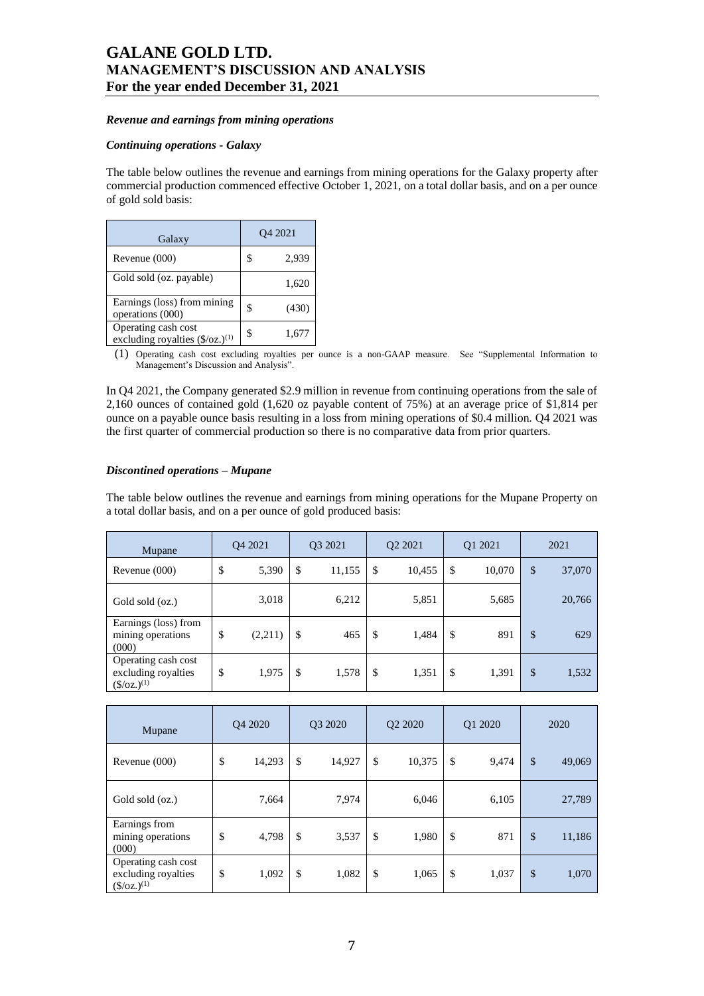#### *Revenue and earnings from mining operations*

#### *Continuing operations - Galaxy*

The table below outlines the revenue and earnings from mining operations for the Galaxy property after commercial production commenced effective October 1, 2021, on a total dollar basis, and on a per ounce of gold sold basis:

| Galaxy                                                           |    | O <sub>4</sub> 2021 |
|------------------------------------------------------------------|----|---------------------|
| Revenue (000)                                                    | \$ | 2,939               |
| Gold sold (oz. payable)                                          |    | 1,620               |
| Earnings (loss) from mining<br>operations (000)                  | S  | (430)               |
| Operating cash cost<br>excluding royalties $(\frac{6}{2})^{(1)}$ | \$ | 1,677               |

(1) Operating cash cost excluding royalties per ounce is a non-GAAP measure. See "Supplemental Information to Management's Discussion and Analysis".

In Q4 2021, the Company generated \$2.9 million in revenue from continuing operations from the sale of 2,160 ounces of contained gold (1,620 oz payable content of 75%) at an average price of \$1,814 per ounce on a payable ounce basis resulting in a loss from mining operations of \$0.4 million. Q4 2021 was the first quarter of commercial production so there is no comparative data from prior quarters.

#### *Discontined operations – Mupane*

The table below outlines the revenue and earnings from mining operations for the Mupane Property on a total dollar basis, and on a per ounce of gold produced basis:

| Mupane                                                                        | O <sub>4</sub> 2021 | O <sub>3</sub> 2021 | O <sub>2</sub> 2021 |               | Q1 2021 | 2021         |
|-------------------------------------------------------------------------------|---------------------|---------------------|---------------------|---------------|---------|--------------|
| Revenue (000)                                                                 | \$<br>5,390         | \$<br>11,155        | \$<br>10,455        | <sup>\$</sup> | 10,070  | \$<br>37,070 |
| Gold sold (oz.)                                                               | 3,018               | 6,212               | 5,851               |               | 5,685   | 20,766       |
| Earnings (loss) from<br>mining operations<br>(000)                            | \$<br>(2,211)       | \$<br>465           | \$<br>1,484         | \$            | 891     | \$<br>629    |
| Operating cash cost<br>excluding royalties<br>$(\frac{\mathcal{S}}{2})^{(1)}$ | \$<br>1,975         | \$<br>1,578         | \$<br>1,351         | \$            | 1,391   | \$<br>1,532  |

| Mupane                                                              | Q4 2020      | Q3 2020      | Q <sub>2</sub> 20 <sub>20</sub> |               | Q1 2020 | 2020         |
|---------------------------------------------------------------------|--------------|--------------|---------------------------------|---------------|---------|--------------|
| Revenue (000)                                                       | \$<br>14,293 | \$<br>14,927 | \$<br>10,375                    | \$            | 9,474   | \$<br>49,069 |
| Gold sold (oz.)                                                     | 7,664        | 7,974        | 6,046                           |               | 6,105   | 27,789       |
| Earnings from<br>mining operations<br>(000)                         | \$<br>4,798  | \$<br>3,537  | \$<br>1,980                     | $\mathcal{S}$ | 871     | \$<br>11,186 |
| Operating cash cost<br>excluding royalties<br>$(\frac{\csc(1)}{2})$ | \$<br>1,092  | \$<br>1,082  | \$<br>1,065                     | \$            | 1,037   | \$<br>1,070  |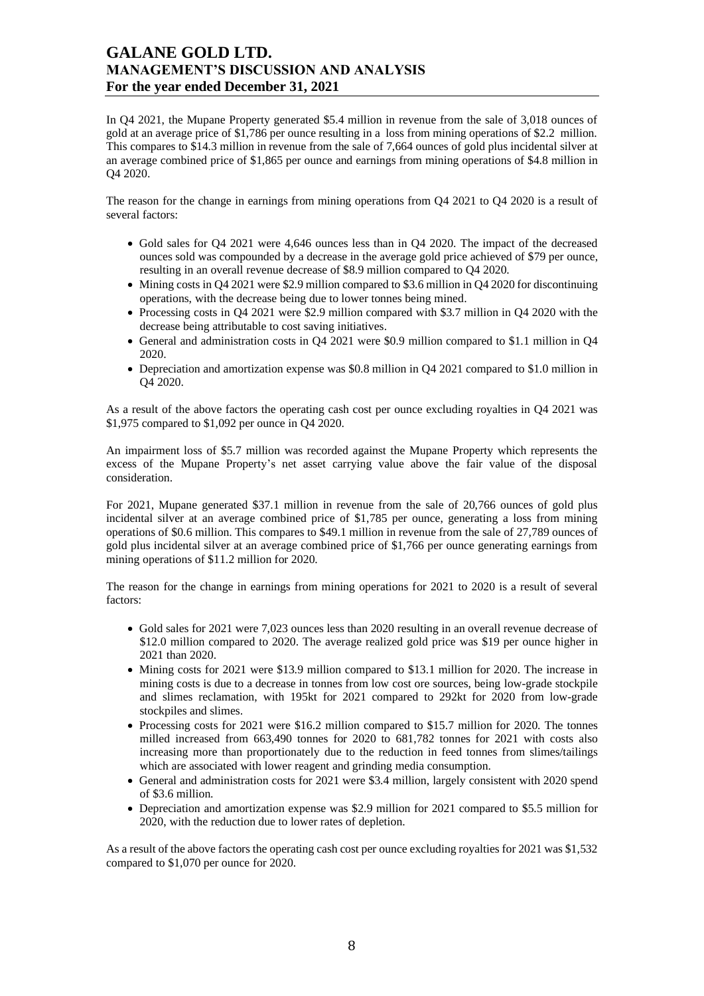In Q4 2021, the Mupane Property generated \$5.4 million in revenue from the sale of 3,018 ounces of gold at an average price of \$1,786 per ounce resulting in a loss from mining operations of \$2.2 million. This compares to \$14.3 million in revenue from the sale of 7,664 ounces of gold plus incidental silver at an average combined price of \$1,865 per ounce and earnings from mining operations of \$4.8 million in Q4 2020.

The reason for the change in earnings from mining operations from Q4 2021 to Q4 2020 is a result of several factors:

- Gold sales for Q4 2021 were 4,646 ounces less than in Q4 2020. The impact of the decreased ounces sold was compounded by a decrease in the average gold price achieved of \$79 per ounce, resulting in an overall revenue decrease of \$8.9 million compared to Q4 2020.
- Mining costs in Q4 2021 were \$2.9 million compared to \$3.6 million in Q4 2020 for discontinuing operations, with the decrease being due to lower tonnes being mined.
- Processing costs in Q4 2021 were \$2.9 million compared with \$3.7 million in Q4 2020 with the decrease being attributable to cost saving initiatives.
- General and administration costs in Q4 2021 were \$0.9 million compared to \$1.1 million in Q4 2020.
- Depreciation and amortization expense was \$0.8 million in Q4 2021 compared to \$1.0 million in Q4 2020.

As a result of the above factors the operating cash cost per ounce excluding royalties in Q4 2021 was \$1,975 compared to \$1,092 per ounce in Q4 2020.

An impairment loss of \$5.7 million was recorded against the Mupane Property which represents the excess of the Mupane Property's net asset carrying value above the fair value of the disposal consideration.

For 2021, Mupane generated \$37.1 million in revenue from the sale of 20,766 ounces of gold plus incidental silver at an average combined price of \$1,785 per ounce, generating a loss from mining operations of \$0.6 million. This compares to \$49.1 million in revenue from the sale of 27,789 ounces of gold plus incidental silver at an average combined price of \$1,766 per ounce generating earnings from mining operations of \$11.2 million for 2020.

The reason for the change in earnings from mining operations for 2021 to 2020 is a result of several factors:

- Gold sales for 2021 were 7,023 ounces less than 2020 resulting in an overall revenue decrease of \$12.0 million compared to 2020. The average realized gold price was \$19 per ounce higher in 2021 than 2020.
- Mining costs for 2021 were \$13.9 million compared to \$13.1 million for 2020. The increase in mining costs is due to a decrease in tonnes from low cost ore sources, being low-grade stockpile and slimes reclamation, with 195kt for 2021 compared to 292kt for 2020 from low-grade stockpiles and slimes.
- Processing costs for 2021 were \$16.2 million compared to \$15.7 million for 2020. The tonnes milled increased from 663,490 tonnes for 2020 to 681,782 tonnes for 2021 with costs also increasing more than proportionately due to the reduction in feed tonnes from slimes/tailings which are associated with lower reagent and grinding media consumption.
- General and administration costs for 2021 were \$3.4 million, largely consistent with 2020 spend of \$3.6 million.
- Depreciation and amortization expense was \$2.9 million for 2021 compared to \$5.5 million for 2020, with the reduction due to lower rates of depletion.

As a result of the above factors the operating cash cost per ounce excluding royalties for 2021 was \$1,532 compared to \$1,070 per ounce for 2020.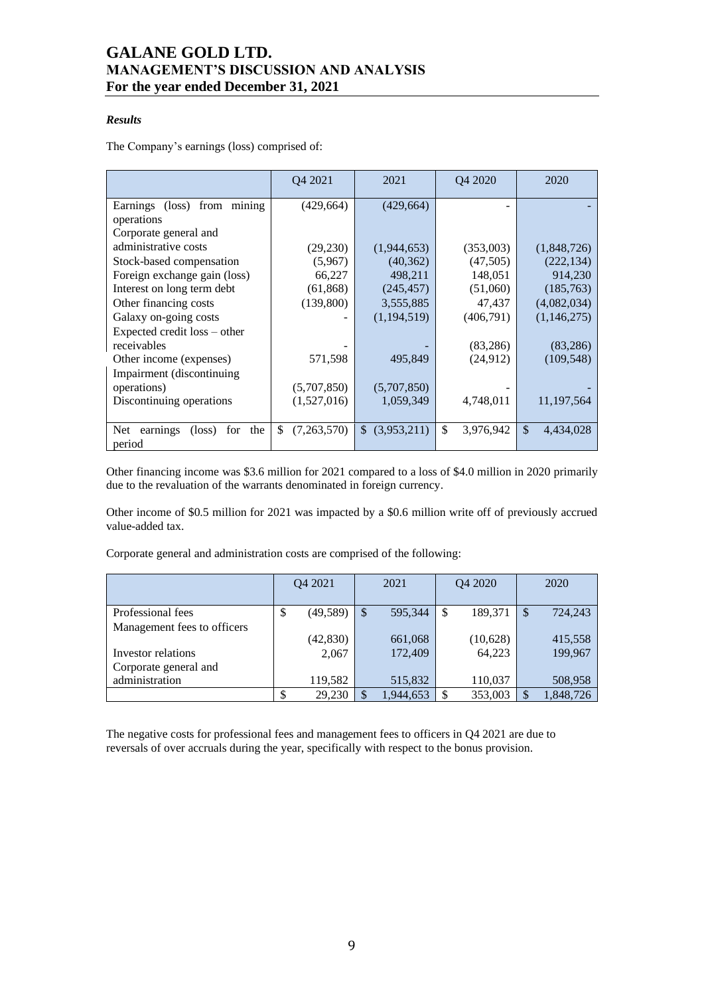## *Results*

The Company's earnings (loss) comprised of:

|                                                             | Q4 2021           | 2021              | Q4 2020         | 2020                       |
|-------------------------------------------------------------|-------------------|-------------------|-----------------|----------------------------|
| from mining<br>Earnings (loss)                              | (429, 664)        | (429, 664)        |                 |                            |
| operations                                                  |                   |                   |                 |                            |
| Corporate general and                                       |                   |                   |                 |                            |
| administrative costs                                        | (29, 230)         | (1,944,653)       | (353,003)       | (1,848,726)                |
| Stock-based compensation                                    | (5,967)           | (40, 362)         | (47,505)        | (222, 134)                 |
| Foreign exchange gain (loss)                                | 66,227            | 498,211           | 148,051         | 914,230                    |
| Interest on long term debt                                  | (61, 868)         | (245, 457)        | (51,060)        | (185,763)                  |
| Other financing costs                                       | (139,800)         | 3,555,885         | 47,437          | (4,082,034)                |
| Galaxy on-going costs                                       |                   | (1,194,519)       | (406,791)       | (1,146,275)                |
| Expected credit loss – other                                |                   |                   |                 |                            |
| receivables                                                 |                   |                   | (83, 286)       | (83, 286)                  |
| Other income (expenses)                                     | 571,598           | 495,849           | (24, 912)       | (109, 548)                 |
| Impairment (discontinuing)                                  |                   |                   |                 |                            |
| operations)                                                 | (5,707,850)       | (5,707,850)       |                 |                            |
| Discontinuing operations                                    | (1,527,016)       | 1,059,349         | 4,748,011       | 11, 197, 564               |
|                                                             |                   |                   |                 |                            |
| Net.<br>earnings<br>the<br>$(\text{loss})$<br>for<br>period | \$<br>(7,263,570) | (3,953,211)<br>\$ | \$<br>3,976,942 | $\mathcal{S}$<br>4,434,028 |

Other financing income was \$3.6 million for 2021 compared to a loss of \$4.0 million in 2020 primarily due to the revaluation of the warrants denominated in foreign currency.

Other income of \$0.5 million for 2021 was impacted by a \$0.6 million write off of previously accrued value-added tax.

Corporate general and administration costs are comprised of the following:

|                             |   | O <sub>4</sub> 2021 |   | 2021      |               | Q4 2020  |    | 2020      |
|-----------------------------|---|---------------------|---|-----------|---------------|----------|----|-----------|
| Professional fees           | ◡ | (49, 589)           | S | 595,344   | <sup>\$</sup> | 189,371  | S  | 724,243   |
| Management fees to officers |   |                     |   |           |               |          |    |           |
|                             |   | (42, 830)           |   | 661,068   |               | (10,628) |    | 415,558   |
| Investor relations          |   | 2,067               |   | 172,409   |               | 64,223   |    | 199,967   |
| Corporate general and       |   |                     |   |           |               |          |    |           |
| administration              |   | 119,582             |   | 515,832   |               | 110,037  |    | 508,958   |
|                             |   | 29,230              |   | 1,944,653 |               | 353,003  | \$ | 1,848,726 |

The negative costs for professional fees and management fees to officers in Q4 2021 are due to reversals of over accruals during the year, specifically with respect to the bonus provision.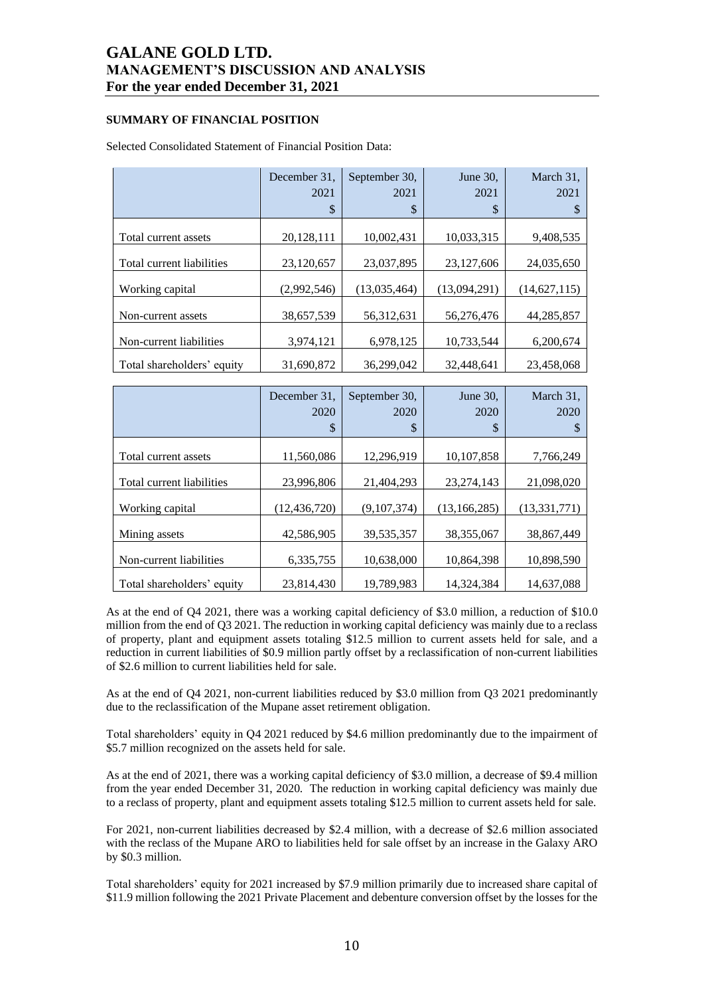## **SUMMARY OF FINANCIAL POSITION**

| Selected Consolidated Statement of Financial Position Data: |  |
|-------------------------------------------------------------|--|
|                                                             |  |

|                            | December 31.<br>2021 | September 30,<br>2021 | June 30,<br>2021 | March 31,<br>2021 |
|----------------------------|----------------------|-----------------------|------------------|-------------------|
|                            | \$                   | \$                    | \$               |                   |
| Total current assets       | 20,128,111           | 10,002,431            | 10,033,315       | 9,408,535         |
| Total current liabilities  | 23,120,657           | 23,037,895            | 23,127,606       | 24,035,650        |
| Working capital            | (2,992,546)          | (13,035,464)          | (13,094,291)     | (14, 627, 115)    |
| Non-current assets         | 38,657,539           | 56,312,631            | 56,276,476       | 44,285,857        |
| Non-current liabilities    | 3,974,121            | 6,978,125             | 10,733,544       | 6,200,674         |
| Total shareholders' equity | 31,690,872           | 36,299,042            | 32,448,641       | 23,458,068        |

|                            | December 31.<br>2020<br>\$ | September 30,<br>2020<br>S | June $30$ .<br>2020<br>\$ | March 31,<br>2020 |
|----------------------------|----------------------------|----------------------------|---------------------------|-------------------|
| Total current assets       | 11,560,086                 | 12,296,919                 | 10,107,858                | 7,766,249         |
| Total current liabilities  | 23.996.806                 | 21.404.293                 | 23.274.143                | 21,098,020        |
| Working capital            | (12, 436, 720)             | (9,107,374)                | (13, 166, 285)            | (13, 331, 771)    |
| Mining assets              | 42.586.905                 | 39,535,357                 | 38,355,067                | 38,867,449        |
| Non-current liabilities    | 6,335,755                  | 10.638,000                 | 10.864.398                | 10,898,590        |
| Total shareholders' equity | 23,814,430                 | 19,789,983                 | 14,324,384                | 14,637,088        |

As at the end of Q4 2021, there was a working capital deficiency of \$3.0 million, a reduction of \$10.0 million from the end of Q3 2021. The reduction in working capital deficiency was mainly due to a reclass of property, plant and equipment assets totaling \$12.5 million to current assets held for sale, and a reduction in current liabilities of \$0.9 million partly offset by a reclassification of non-current liabilities of \$2.6 million to current liabilities held for sale.

As at the end of Q4 2021, non-current liabilities reduced by \$3.0 million from Q3 2021 predominantly due to the reclassification of the Mupane asset retirement obligation.

Total shareholders' equity in Q4 2021 reduced by \$4.6 million predominantly due to the impairment of \$5.7 million recognized on the assets held for sale.

As at the end of 2021, there was a working capital deficiency of \$3.0 million, a decrease of \$9.4 million from the year ended December 31, 2020. The reduction in working capital deficiency was mainly due to a reclass of property, plant and equipment assets totaling \$12.5 million to current assets held for sale.

For 2021, non-current liabilities decreased by \$2.4 million, with a decrease of \$2.6 million associated with the reclass of the Mupane ARO to liabilities held for sale offset by an increase in the Galaxy ARO by \$0.3 million.

Total shareholders' equity for 2021 increased by \$7.9 million primarily due to increased share capital of \$11.9 million following the 2021 Private Placement and debenture conversion offset by the losses for the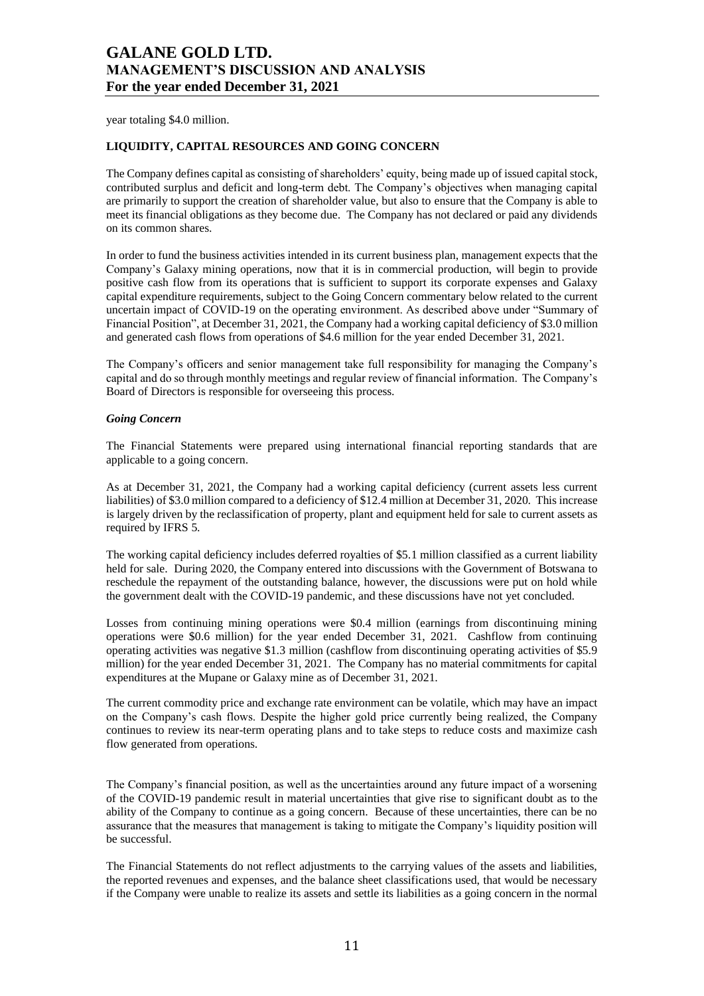year totaling \$4.0 million.

#### **LIQUIDITY, CAPITAL RESOURCES AND GOING CONCERN**

The Company defines capital as consisting of shareholders' equity, being made up of issued capital stock, contributed surplus and deficit and long-term debt. The Company's objectives when managing capital are primarily to support the creation of shareholder value, but also to ensure that the Company is able to meet its financial obligations as they become due. The Company has not declared or paid any dividends on its common shares.

In order to fund the business activities intended in its current business plan, management expects that the Company's Galaxy mining operations, now that it is in commercial production, will begin to provide positive cash flow from its operations that is sufficient to support its corporate expenses and Galaxy capital expenditure requirements, subject to the Going Concern commentary below related to the current uncertain impact of COVID-19 on the operating environment. As described above under "Summary of Financial Position", at December 31, 2021, the Company had a working capital deficiency of \$3.0 million and generated cash flows from operations of \$4.6 million for the year ended December 31, 2021.

The Company's officers and senior management take full responsibility for managing the Company's capital and do so through monthly meetings and regular review of financial information. The Company's Board of Directors is responsible for overseeing this process.

#### *Going Concern*

The Financial Statements were prepared using international financial reporting standards that are applicable to a going concern.

As at December 31, 2021, the Company had a working capital deficiency (current assets less current liabilities) of \$3.0 million compared to a deficiency of \$12.4 million at December 31, 2020. This increase is largely driven by the reclassification of property, plant and equipment held for sale to current assets as required by IFRS 5.

The working capital deficiency includes deferred royalties of \$5.1 million classified as a current liability held for sale. During 2020, the Company entered into discussions with the Government of Botswana to reschedule the repayment of the outstanding balance, however, the discussions were put on hold while the government dealt with the COVID-19 pandemic, and these discussions have not yet concluded.

Losses from continuing mining operations were \$0.4 million (earnings from discontinuing mining operations were \$0.6 million) for the year ended December 31, 2021. Cashflow from continuing operating activities was negative \$1.3 million (cashflow from discontinuing operating activities of \$5.9 million) for the year ended December 31, 2021. The Company has no material commitments for capital expenditures at the Mupane or Galaxy mine as of December 31, 2021.

The current commodity price and exchange rate environment can be volatile, which may have an impact on the Company's cash flows. Despite the higher gold price currently being realized, the Company continues to review its near-term operating plans and to take steps to reduce costs and maximize cash flow generated from operations.

The Company's financial position, as well as the uncertainties around any future impact of a worsening of the COVID-19 pandemic result in material uncertainties that give rise to significant doubt as to the ability of the Company to continue as a going concern. Because of these uncertainties, there can be no assurance that the measures that management is taking to mitigate the Company's liquidity position will be successful.

The Financial Statements do not reflect adjustments to the carrying values of the assets and liabilities, the reported revenues and expenses, and the balance sheet classifications used, that would be necessary if the Company were unable to realize its assets and settle its liabilities as a going concern in the normal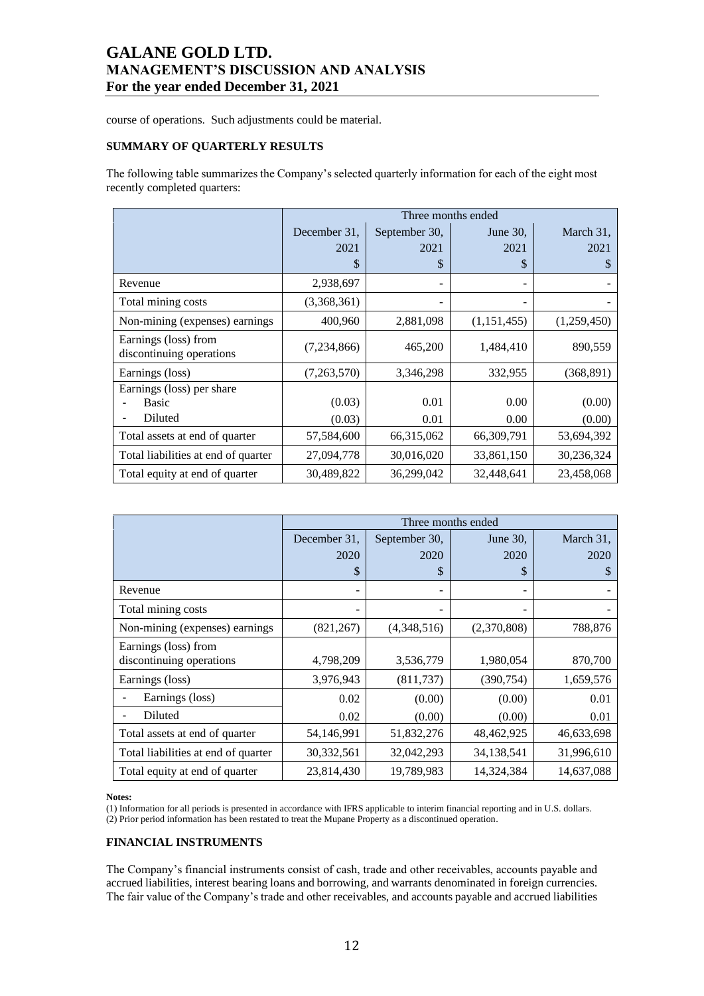course of operations. Such adjustments could be material.

## **SUMMARY OF QUARTERLY RESULTS**

The following table summarizes the Company's selected quarterly information for each of the eight most recently completed quarters:

|                                                      | Three months ended |               |               |                  |  |  |  |  |  |
|------------------------------------------------------|--------------------|---------------|---------------|------------------|--|--|--|--|--|
|                                                      | December 31.       | September 30, | June $30$ ,   | March 31,        |  |  |  |  |  |
|                                                      | 2021               | 2021          | 2021          | 2021             |  |  |  |  |  |
|                                                      | \$                 | \$            | S             | S                |  |  |  |  |  |
| Revenue                                              | 2,938,697          |               |               |                  |  |  |  |  |  |
| Total mining costs                                   | (3,368,361)        |               |               |                  |  |  |  |  |  |
| Non-mining (expenses) earnings                       | 400,960            | 2,881,098     | (1, 151, 455) | (1,259,450)      |  |  |  |  |  |
| Earnings (loss) from<br>discontinuing operations     | (7,234,866)        | 465,200       | 1,484,410     | 890,559          |  |  |  |  |  |
| Earnings (loss)                                      | (7,263,570)        | 3,346,298     | 332,955       | (368, 891)       |  |  |  |  |  |
| Earnings (loss) per share<br><b>Basic</b><br>Diluted | (0.03)<br>(0.03)   | 0.01<br>0.01  | 0.00<br>0.00  | (0.00)<br>(0.00) |  |  |  |  |  |
| Total assets at end of quarter                       | 57,584,600         | 66,315,062    | 66,309,791    | 53,694,392       |  |  |  |  |  |
| Total liabilities at end of quarter                  | 27,094,778         | 30,016,020    | 33,861,150    | 30,236,324       |  |  |  |  |  |
| Total equity at end of quarter                       | 30,489,822         | 36,299,042    | 32,448,641    | 23,458,068       |  |  |  |  |  |

|                                     | Three months ended |               |             |            |  |  |  |  |  |
|-------------------------------------|--------------------|---------------|-------------|------------|--|--|--|--|--|
|                                     | December 31.       | September 30, | June 30,    | March 31,  |  |  |  |  |  |
|                                     | 2020               | 2020          | 2020        | 2020       |  |  |  |  |  |
|                                     | \$                 | \$            | \$          | \$         |  |  |  |  |  |
| Revenue                             |                    |               |             |            |  |  |  |  |  |
| Total mining costs                  |                    |               |             |            |  |  |  |  |  |
| Non-mining (expenses) earnings      | (821, 267)         | (4,348,516)   | (2,370,808) | 788,876    |  |  |  |  |  |
| Earnings (loss) from                |                    |               |             |            |  |  |  |  |  |
| discontinuing operations            | 4,798,209          | 3,536,779     | 1,980,054   | 870,700    |  |  |  |  |  |
| Earnings (loss)                     | 3,976,943          | (811, 737)    | (390, 754)  | 1,659,576  |  |  |  |  |  |
| Earnings (loss)                     | 0.02               | (0.00)        | (0.00)      | 0.01       |  |  |  |  |  |
| Diluted                             | 0.02               | (0.00)        | (0.00)      | 0.01       |  |  |  |  |  |
| Total assets at end of quarter      | 54,146,991         | 51,832,276    | 48,462,925  | 46,633,698 |  |  |  |  |  |
| Total liabilities at end of quarter | 30,332,561         | 32,042,293    | 34,138,541  | 31,996,610 |  |  |  |  |  |
| Total equity at end of quarter      | 23,814,430         | 19,789,983    | 14,324,384  | 14,637,088 |  |  |  |  |  |

#### **Notes:**

(1) Information for all periods is presented in accordance with IFRS applicable to interim financial reporting and in U.S. dollars. (2) Prior period information has been restated to treat the Mupane Property as a discontinued operation.

## **FINANCIAL INSTRUMENTS**

The Company's financial instruments consist of cash, trade and other receivables, accounts payable and accrued liabilities, interest bearing loans and borrowing, and warrants denominated in foreign currencies. The fair value of the Company's trade and other receivables, and accounts payable and accrued liabilities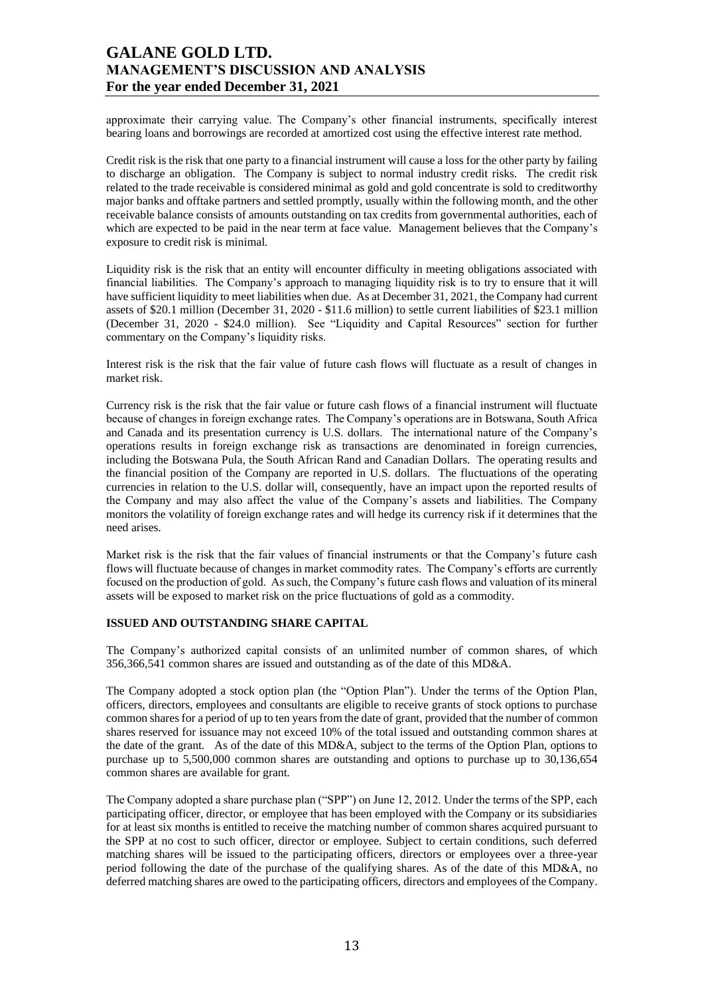approximate their carrying value. The Company's other financial instruments, specifically interest bearing loans and borrowings are recorded at amortized cost using the effective interest rate method.

Credit risk is the risk that one party to a financial instrument will cause a loss for the other party by failing to discharge an obligation. The Company is subject to normal industry credit risks. The credit risk related to the trade receivable is considered minimal as gold and gold concentrate is sold to creditworthy major banks and offtake partners and settled promptly, usually within the following month, and the other receivable balance consists of amounts outstanding on tax credits from governmental authorities, each of which are expected to be paid in the near term at face value. Management believes that the Company's exposure to credit risk is minimal.

Liquidity risk is the risk that an entity will encounter difficulty in meeting obligations associated with financial liabilities. The Company's approach to managing liquidity risk is to try to ensure that it will have sufficient liquidity to meet liabilities when due. As at December 31, 2021, the Company had current assets of \$20.1 million (December 31, 2020 - \$11.6 million) to settle current liabilities of \$23.1 million (December 31, 2020 - \$24.0 million). See "Liquidity and Capital Resources" section for further commentary on the Company's liquidity risks.

Interest risk is the risk that the fair value of future cash flows will fluctuate as a result of changes in market risk.

Currency risk is the risk that the fair value or future cash flows of a financial instrument will fluctuate because of changes in foreign exchange rates. The Company's operations are in Botswana, South Africa and Canada and its presentation currency is U.S. dollars. The international nature of the Company's operations results in foreign exchange risk as transactions are denominated in foreign currencies, including the Botswana Pula, the South African Rand and Canadian Dollars. The operating results and the financial position of the Company are reported in U.S. dollars. The fluctuations of the operating currencies in relation to the U.S. dollar will, consequently, have an impact upon the reported results of the Company and may also affect the value of the Company's assets and liabilities. The Company monitors the volatility of foreign exchange rates and will hedge its currency risk if it determines that the need arises.

Market risk is the risk that the fair values of financial instruments or that the Company's future cash flows will fluctuate because of changes in market commodity rates. The Company's efforts are currently focused on the production of gold. As such, the Company's future cash flows and valuation of its mineral assets will be exposed to market risk on the price fluctuations of gold as a commodity.

## **ISSUED AND OUTSTANDING SHARE CAPITAL**

The Company's authorized capital consists of an unlimited number of common shares, of which 356,366,541 common shares are issued and outstanding as of the date of this MD&A.

The Company adopted a stock option plan (the "Option Plan"). Under the terms of the Option Plan, officers, directors, employees and consultants are eligible to receive grants of stock options to purchase common shares for a period of up to ten years from the date of grant, provided that the number of common shares reserved for issuance may not exceed 10% of the total issued and outstanding common shares at the date of the grant. As of the date of this MD&A, subject to the terms of the Option Plan, options to purchase up to 5,500,000 common shares are outstanding and options to purchase up to 30,136,654 common shares are available for grant.

The Company adopted a share purchase plan ("SPP") on June 12, 2012. Under the terms of the SPP, each participating officer, director, or employee that has been employed with the Company or its subsidiaries for at least six months is entitled to receive the matching number of common shares acquired pursuant to the SPP at no cost to such officer, director or employee. Subject to certain conditions, such deferred matching shares will be issued to the participating officers, directors or employees over a three-year period following the date of the purchase of the qualifying shares. As of the date of this MD&A, no deferred matching shares are owed to the participating officers, directors and employees of the Company.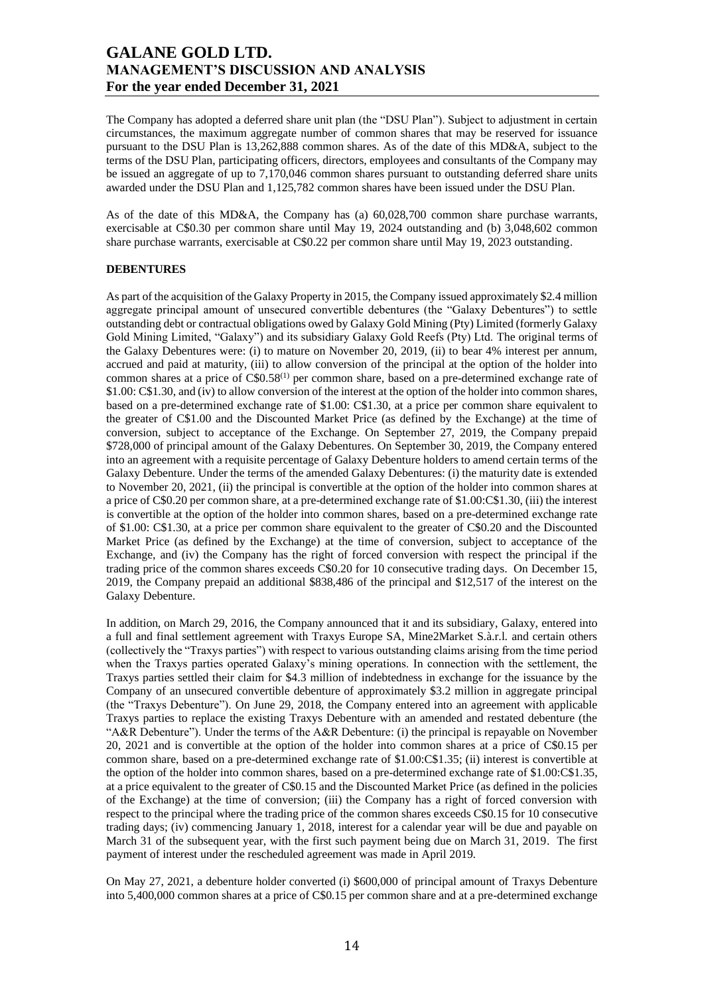The Company has adopted a deferred share unit plan (the "DSU Plan"). Subject to adjustment in certain circumstances, the maximum aggregate number of common shares that may be reserved for issuance pursuant to the DSU Plan is 13,262,888 common shares. As of the date of this MD&A, subject to the terms of the DSU Plan, participating officers, directors, employees and consultants of the Company may be issued an aggregate of up to 7,170,046 common shares pursuant to outstanding deferred share units awarded under the DSU Plan and 1,125,782 common shares have been issued under the DSU Plan.

As of the date of this MD&A, the Company has (a) 60,028,700 common share purchase warrants, exercisable at C\$0.30 per common share until May 19, 2024 outstanding and (b) 3,048,602 common share purchase warrants, exercisable at C\$0.22 per common share until May 19, 2023 outstanding.

## **DEBENTURES**

As part of the acquisition of the Galaxy Property in 2015, the Company issued approximately \$2.4 million aggregate principal amount of unsecured convertible debentures (the "Galaxy Debentures") to settle outstanding debt or contractual obligations owed by Galaxy Gold Mining (Pty) Limited (formerly Galaxy Gold Mining Limited, "Galaxy") and its subsidiary Galaxy Gold Reefs (Pty) Ltd. The original terms of the Galaxy Debentures were: (i) to mature on November 20, 2019, (ii) to bear 4% interest per annum, accrued and paid at maturity, (iii) to allow conversion of the principal at the option of the holder into common shares at a price of C\$0.58<sup>(1)</sup> per common share, based on a pre-determined exchange rate of \$1.00: C\$1.30, and (iv) to allow conversion of the interest at the option of the holder into common shares, based on a pre-determined exchange rate of \$1.00: C\$1.30, at a price per common share equivalent to the greater of C\$1.00 and the Discounted Market Price (as defined by the Exchange) at the time of conversion, subject to acceptance of the Exchange. On September 27, 2019, the Company prepaid \$728,000 of principal amount of the Galaxy Debentures. On September 30, 2019, the Company entered into an agreement with a requisite percentage of Galaxy Debenture holders to amend certain terms of the Galaxy Debenture. Under the terms of the amended Galaxy Debentures: (i) the maturity date is extended to November 20, 2021, (ii) the principal is convertible at the option of the holder into common shares at a price of C\$0.20 per common share, at a pre-determined exchange rate of \$1.00:C\$1.30, (iii) the interest is convertible at the option of the holder into common shares, based on a pre-determined exchange rate of \$1.00: C\$1.30, at a price per common share equivalent to the greater of C\$0.20 and the Discounted Market Price (as defined by the Exchange) at the time of conversion, subject to acceptance of the Exchange, and (iv) the Company has the right of forced conversion with respect the principal if the trading price of the common shares exceeds C\$0.20 for 10 consecutive trading days. On December 15, 2019, the Company prepaid an additional \$838,486 of the principal and \$12,517 of the interest on the Galaxy Debenture.

In addition, on March 29, 2016, the Company announced that it and its subsidiary, Galaxy, entered into a full and final settlement agreement with Traxys Europe SA, Mine2Market S.à.r.l. and certain others (collectively the "Traxys parties") with respect to various outstanding claims arising from the time period when the Traxys parties operated Galaxy's mining operations. In connection with the settlement, the Traxys parties settled their claim for \$4.3 million of indebtedness in exchange for the issuance by the Company of an unsecured convertible debenture of approximately \$3.2 million in aggregate principal (the "Traxys Debenture"). On June 29, 2018, the Company entered into an agreement with applicable Traxys parties to replace the existing Traxys Debenture with an amended and restated debenture (the "A&R Debenture"). Under the terms of the A&R Debenture: (i) the principal is repayable on November 20, 2021 and is convertible at the option of the holder into common shares at a price of C\$0.15 per common share, based on a pre-determined exchange rate of \$1.00:C\$1.35; (ii) interest is convertible at the option of the holder into common shares, based on a pre-determined exchange rate of \$1.00:C\$1.35, at a price equivalent to the greater of C\$0.15 and the Discounted Market Price (as defined in the policies of the Exchange) at the time of conversion; (iii) the Company has a right of forced conversion with respect to the principal where the trading price of the common shares exceeds C\$0.15 for 10 consecutive trading days; (iv) commencing January 1, 2018, interest for a calendar year will be due and payable on March 31 of the subsequent year, with the first such payment being due on March 31, 2019. The first payment of interest under the rescheduled agreement was made in April 2019.

On May 27, 2021, a debenture holder converted (i) \$600,000 of principal amount of Traxys Debenture into 5,400,000 common shares at a price of C\$0.15 per common share and at a pre-determined exchange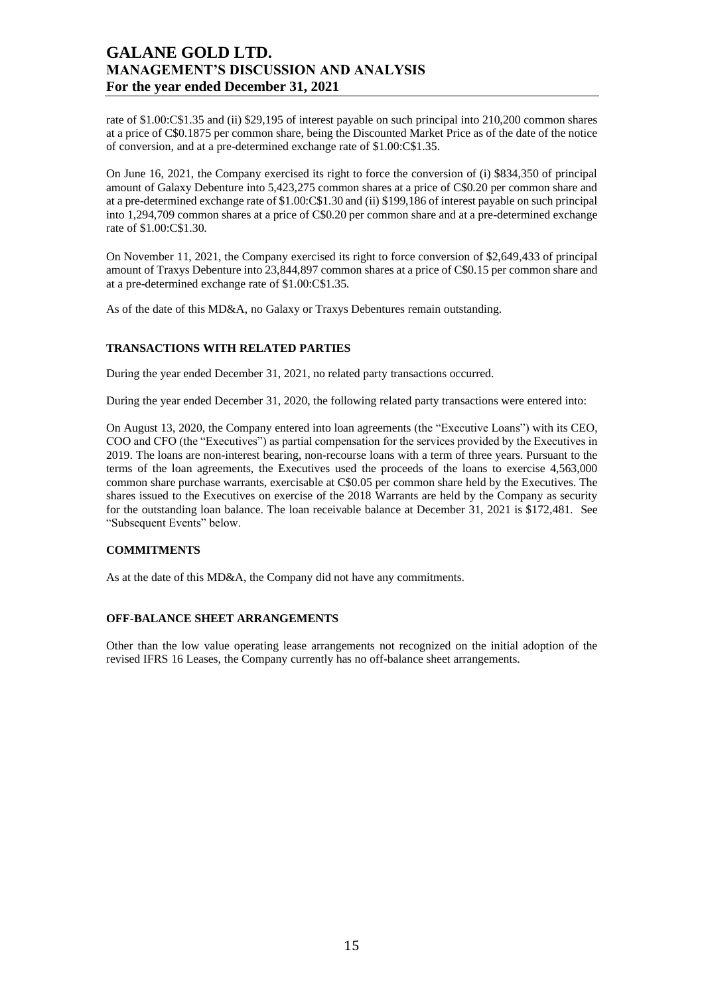rate of \$1.00:C\$1.35 and (ii) \$29,195 of interest payable on such principal into 210,200 common shares at a price of C\$0.1875 per common share, being the Discounted Market Price as of the date of the notice of conversion, and at a pre-determined exchange rate of \$1.00:C\$1.35.

On June 16, 2021, the Company exercised its right to force the conversion of (i) \$834,350 of principal amount of Galaxy Debenture into 5,423,275 common shares at a price of C\$0.20 per common share and at a pre-determined exchange rate of \$1.00:C\$1.30 and (ii) \$199,186 of interest payable on such principal into 1,294,709 common shares at a price of C\$0.20 per common share and at a pre-determined exchange rate of \$1.00:C\$1.30.

On November 11, 2021, the Company exercised its right to force conversion of \$2,649,433 of principal amount of Traxys Debenture into 23,844,897 common shares at a price of C\$0.15 per common share and at a pre-determined exchange rate of \$1.00:C\$1.35.

As of the date of this MD&A, no Galaxy or Traxys Debentures remain outstanding.

## **TRANSACTIONS WITH RELATED PARTIES**

During the year ended December 31, 2021, no related party transactions occurred.

During the year ended December 31, 2020, the following related party transactions were entered into:

On August 13, 2020, the Company entered into loan agreements (the "Executive Loans") with its CEO, COO and CFO (the "Executives") as partial compensation for the services provided by the Executives in 2019. The loans are non-interest bearing, non-recourse loans with a term of three years. Pursuant to the terms of the loan agreements, the Executives used the proceeds of the loans to exercise 4,563,000 common share purchase warrants, exercisable at C\$0.05 per common share held by the Executives. The shares issued to the Executives on exercise of the 2018 Warrants are held by the Company as security for the outstanding loan balance. The loan receivable balance at December 31, 2021 is \$172,481. See "Subsequent Events" below.

## **COMMITMENTS**

As at the date of this MD&A, the Company did not have any commitments.

#### **OFF-BALANCE SHEET ARRANGEMENTS**

Other than the low value operating lease arrangements not recognized on the initial adoption of the revised IFRS 16 Leases, the Company currently has no off-balance sheet arrangements.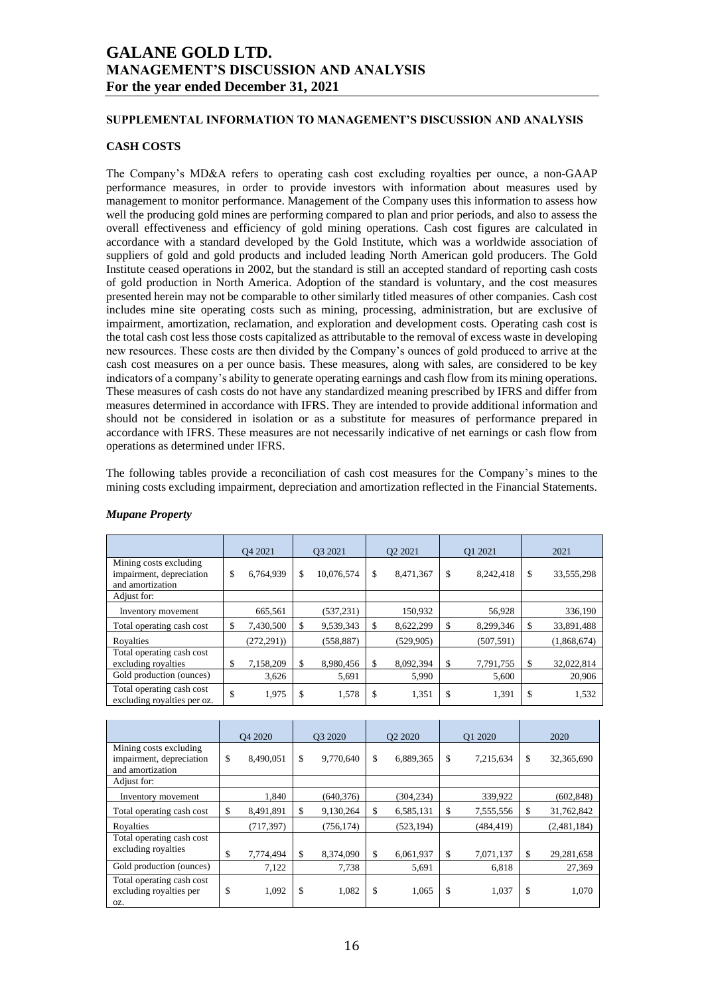## **SUPPLEMENTAL INFORMATION TO MANAGEMENT'S DISCUSSION AND ANALYSIS**

## **CASH COSTS**

The Company's MD&A refers to operating cash cost excluding royalties per ounce, a non-GAAP performance measures, in order to provide investors with information about measures used by management to monitor performance. Management of the Company uses this information to assess how well the producing gold mines are performing compared to plan and prior periods, and also to assess the overall effectiveness and efficiency of gold mining operations. Cash cost figures are calculated in accordance with a standard developed by the Gold Institute, which was a worldwide association of suppliers of gold and gold products and included leading North American gold producers. The Gold Institute ceased operations in 2002, but the standard is still an accepted standard of reporting cash costs of gold production in North America. Adoption of the standard is voluntary, and the cost measures presented herein may not be comparable to other similarly titled measures of other companies. Cash cost includes mine site operating costs such as mining, processing, administration, but are exclusive of impairment, amortization, reclamation, and exploration and development costs. Operating cash cost is the total cash cost less those costs capitalized as attributable to the removal of excess waste in developing new resources. These costs are then divided by the Company's ounces of gold produced to arrive at the cash cost measures on a per ounce basis. These measures, along with sales, are considered to be key indicators of a company's ability to generate operating earnings and cash flow from its mining operations. These measures of cash costs do not have any standardized meaning prescribed by IFRS and differ from measures determined in accordance with IFRS. They are intended to provide additional information and should not be considered in isolation or as a substitute for measures of performance prepared in accordance with IFRS. These measures are not necessarily indicative of net earnings or cash flow from operations as determined under IFRS.

The following tables provide a reconciliation of cash cost measures for the Company's mines to the mining costs excluding impairment, depreciation and amortization reflected in the Financial Statements.

|                                                                        | O <sub>4</sub> 2021 | O <sub>3</sub> 2021 | O <sub>2</sub> 2021 |            | O1 2021 |            | 2021 |             |
|------------------------------------------------------------------------|---------------------|---------------------|---------------------|------------|---------|------------|------|-------------|
| Mining costs excluding<br>impairment, depreciation<br>and amortization | \$<br>6,764,939     | \$<br>10,076,574    | \$                  | 8,471,367  | \$      | 8,242,418  | \$   | 33,555,298  |
| Adjust for:                                                            |                     |                     |                     |            |         |            |      |             |
| Inventory movement                                                     | 665,561             | (537, 231)          |                     | 150,932    |         | 56,928     |      | 336,190     |
| Total operating cash cost                                              | \$<br>7,430,500     | \$<br>9,539,343     | \$                  | 8,622,299  | \$      | 8,299,346  | \$   | 33,891,488  |
| Royalties                                                              | (272, 291)          | (558, 887)          |                     | (529, 905) |         | (507, 591) |      | (1,868,674) |
| Total operating cash cost<br>excluding royalties                       | \$<br>7,158,209     | \$<br>8,980,456     | \$                  | 8,092,394  | \$      | 7,791,755  | \$   | 32,022,814  |
| Gold production (ounces)                                               | 3,626               | 5,691               |                     | 5,990      |         | 5,600      |      | 20,906      |
| Total operating cash cost<br>excluding royalties per oz.               | \$<br>1,975         | \$<br>1,578         | \$                  | 1,351      | \$      | 1,391      | \$   | 1,532       |

## *Mupane Property*

|                                                                        | O <sub>4</sub> 2020 |            | O <sub>3</sub> 2020 |            | O <sub>2</sub> 2020 |            | O1 2020 |            | 2020 |             |
|------------------------------------------------------------------------|---------------------|------------|---------------------|------------|---------------------|------------|---------|------------|------|-------------|
| Mining costs excluding<br>impairment, depreciation<br>and amortization | \$                  | 8,490,051  | \$                  | 9.770.640  | \$                  | 6,889,365  | \$      | 7,215,634  | \$   | 32,365,690  |
| Adjust for:                                                            |                     |            |                     |            |                     |            |         |            |      |             |
| Inventory movement                                                     |                     | 1,840      |                     | (640, 376) |                     | (304, 234) |         | 339,922    |      | (602, 848)  |
| Total operating cash cost                                              | \$                  | 8,491,891  | \$                  | 9,130,264  | \$                  | 6,585,131  | \$      | 7,555,556  | \$   | 31,762,842  |
| Royalties                                                              |                     | (717, 397) |                     | (756, 174) |                     | (523, 194) |         | (484, 419) |      | (2,481,184) |
| Total operating cash cost<br>excluding royalties                       | \$                  | 7,774,494  | \$                  | 8,374,090  | \$                  | 6,061,937  | \$      | 7,071,137  | \$   | 29,281,658  |
| Gold production (ounces)                                               |                     | 7.122      |                     | 7,738      |                     | 5,691      |         | 6,818      |      | 27,369      |
| Total operating cash cost<br>excluding royalties per<br>OZ.            | \$                  | 1,092      | \$                  | 1,082      | \$                  | 1,065      | \$      | 1,037      | \$   | 1,070       |